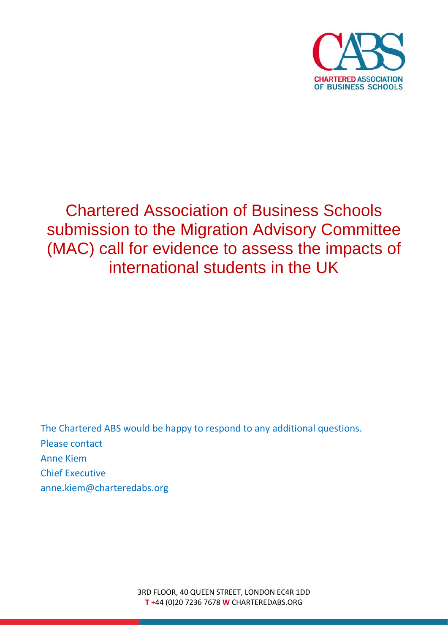

# Chartered Association of Business Schools submission to the Migration Advisory Committee (MAC) call for evidence to assess the impacts of international students in the UK

The Chartered ABS would be happy to respond to any additional questions. Please contact Anne Kiem Chief Executive anne.kiem@charteredabs.org

> 3RD FLOOR, 40 QUEEN STREET, LONDON EC4R 1DD **T** +44 (0)20 7236 7678 **W** CHARTEREDABS.ORG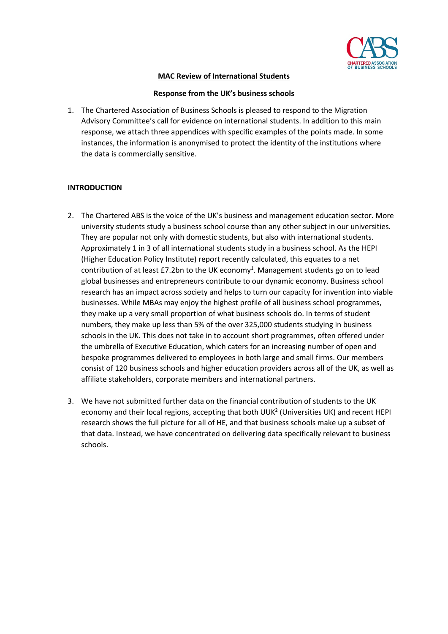

# **MAC Review of International Students**

## **Response from the UK's business schools**

1. The Chartered Association of Business Schools is pleased to respond to the Migration Advisory Committee's call for evidence on international students. In addition to this main response, we attach three appendices with specific examples of the points made. In some instances, the information is anonymised to protect the identity of the institutions where the data is commercially sensitive.

# **INTRODUCTION**

- 2. The Chartered ABS is the voice of the UK's business and management education sector. More university students study a business school course than any other subject in our universities. They are popular not only with domestic students, but also with international students. Approximately 1 in 3 of all international students study in a business school. As the HEPI (Higher Education Policy Institute) report recently calculated, this equates to a net contribution of at least £7.2bn to the UK economy<sup>1</sup>. Management students go on to lead global businesses and entrepreneurs contribute to our dynamic economy. Business school research has an impact across society and helps to turn our capacity for invention into viable businesses. While MBAs may enjoy the highest profile of all business school programmes, they make up a very small proportion of what business schools do. In terms of student numbers, they make up less than 5% of the over 325,000 students studying in business schools in the UK. This does not take in to account short programmes, often offered under the umbrella of Executive Education, which caters for an increasing number of open and bespoke programmes delivered to employees in both large and small firms. Our members consist of 120 business schools and higher education providers across all of the UK, as well as affiliate stakeholders, corporate members and international partners.
- 3. We have not submitted further data on the financial contribution of students to the UK economy and their local regions, accepting that both UUK<sup>2</sup> (Universities UK) and recent HEPI research shows the full picture for all of HE, and that business schools make up a subset of that data. Instead, we have concentrated on delivering data specifically relevant to business schools.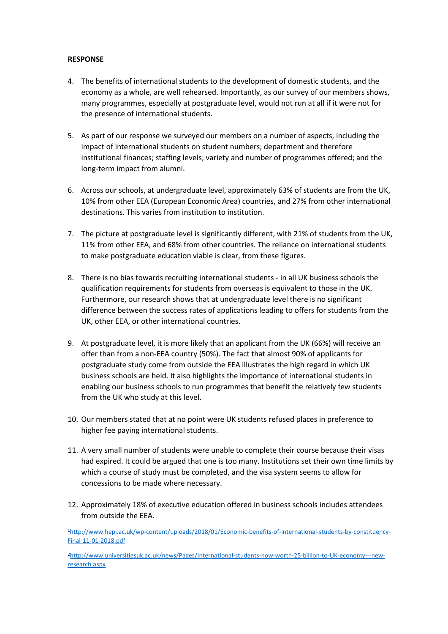## **RESPONSE**

- 4. The benefits of international students to the development of domestic students, and the economy as a whole, are well rehearsed. Importantly, as our survey of our members shows, many programmes, especially at postgraduate level, would not run at all if it were not for the presence of international students.
- 5. As part of our response we surveyed our members on a number of aspects, including the impact of international students on student numbers; department and therefore institutional finances; staffing levels; variety and number of programmes offered; and the long-term impact from alumni.
- 6. Across our schools, at undergraduate level, approximately 63% of students are from the UK, 10% from other EEA (European Economic Area) countries, and 27% from other international destinations. This varies from institution to institution.
- 7. The picture at postgraduate level is significantly different, with 21% of students from the UK, 11% from other EEA, and 68% from other countries. The reliance on international students to make postgraduate education viable is clear, from these figures.
- 8. There is no bias towards recruiting international students in all UK business schools the qualification requirements for students from overseas is equivalent to those in the UK. Furthermore, our research shows that at undergraduate level there is no significant difference between the success rates of applications leading to offers for students from the UK, other EEA, or other international countries.
- 9. At postgraduate level, it is more likely that an applicant from the UK (66%) will receive an offer than from a non-EEA country (50%). The fact that almost 90% of applicants for postgraduate study come from outside the EEA illustrates the high regard in which UK business schools are held. It also highlights the importance of international students in enabling our business schools to run programmes that benefit the relatively few students from the UK who study at this level.
- 10. Our members stated that at no point were UK students refused places in preference to higher fee paying international students.
- 11. A very small number of students were unable to complete their course because their visas had expired. It could be argued that one is too many. Institutions set their own time limits by which a course of study must be completed, and the visa system seems to allow for concessions to be made where necessary.
- 12. Approximately 18% of executive education offered in business schools includes attendees from outside the EEA.

[1http://www.hepi.ac.uk/wp-content/uploads/2018/01/Economic-benefits-of-international-students-by-constituency-](http://www.hepi.ac.uk/wp-content/uploads/2018/01/Economic-benefits-of-international-students-by-constituency-Final-11-01-2018.pdf)[Final-11-01-2018.pdf](http://www.hepi.ac.uk/wp-content/uploads/2018/01/Economic-benefits-of-international-students-by-constituency-Final-11-01-2018.pdf)

[2http://www.universitiesuk.ac.uk/news/Pages/International-students-now-worth-25-billion-to-UK-economy---new](http://www.universitiesuk.ac.uk/news/Pages/International-students-now-worth-25-billion-to-UK-economy---new-research.aspx)[research.aspx](http://www.universitiesuk.ac.uk/news/Pages/International-students-now-worth-25-billion-to-UK-economy---new-research.aspx)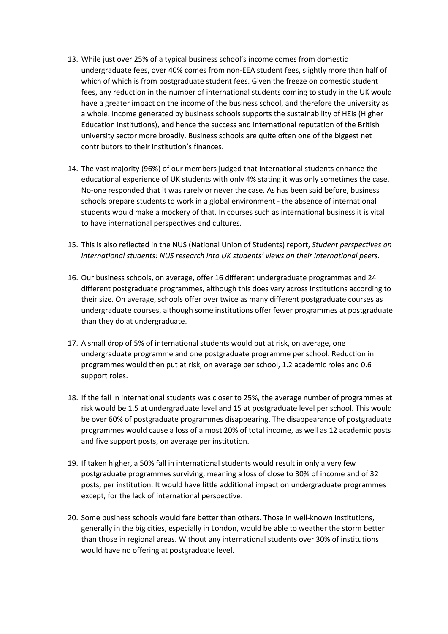- 13. While just over 25% of a typical business school's income comes from domestic undergraduate fees, over 40% comes from non-EEA student fees, slightly more than half of which of which is from postgraduate student fees. Given the freeze on domestic student fees, any reduction in the number of international students coming to study in the UK would have a greater impact on the income of the business school, and therefore the university as a whole. Income generated by business schools supports the sustainability of HEIs (Higher Education Institutions), and hence the success and international reputation of the British university sector more broadly. Business schools are quite often one of the biggest net contributors to their institution's finances.
- 14. The vast majority (96%) of our members judged that international students enhance the educational experience of UK students with only 4% stating it was only sometimes the case. No-one responded that it was rarely or never the case. As has been said before, business schools prepare students to work in a global environment - the absence of international students would make a mockery of that. In courses such as international business it is vital to have international perspectives and cultures.
- 15. This is also reflected in the NUS (National Union of Students) report, *Student perspectives on international students: NUS research into UK students' views on their international peers.*
- 16. Our business schools, on average, offer 16 different undergraduate programmes and 24 different postgraduate programmes, although this does vary across institutions according to their size. On average, schools offer over twice as many different postgraduate courses as undergraduate courses, although some institutions offer fewer programmes at postgraduate than they do at undergraduate.
- 17. A small drop of 5% of international students would put at risk, on average, one undergraduate programme and one postgraduate programme per school. Reduction in programmes would then put at risk, on average per school, 1.2 academic roles and 0.6 support roles.
- 18. If the fall in international students was closer to 25%, the average number of programmes at risk would be 1.5 at undergraduate level and 15 at postgraduate level per school. This would be over 60% of postgraduate programmes disappearing. The disappearance of postgraduate programmes would cause a loss of almost 20% of total income, as well as 12 academic posts and five support posts, on average per institution.
- 19. If taken higher, a 50% fall in international students would result in only a very few postgraduate programmes surviving, meaning a loss of close to 30% of income and of 32 posts, per institution. It would have little additional impact on undergraduate programmes except, for the lack of international perspective.
- 20. Some business schools would fare better than others. Those in well-known institutions, generally in the big cities, especially in London, would be able to weather the storm better than those in regional areas. Without any international students over 30% of institutions would have no offering at postgraduate level.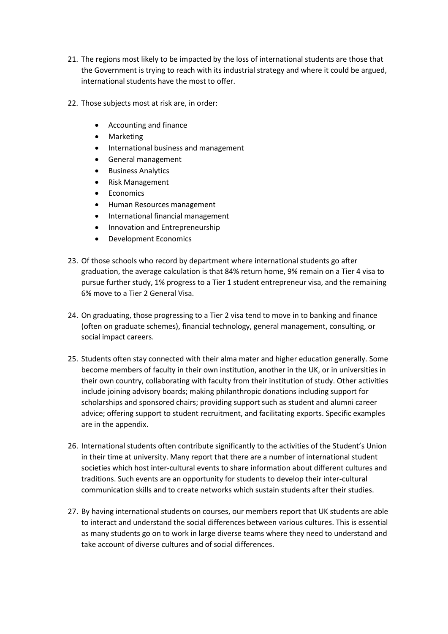- 21. The regions most likely to be impacted by the loss of international students are those that the Government is trying to reach with its industrial strategy and where it could be argued, international students have the most to offer.
- 22. Those subjects most at risk are, in order:
	- Accounting and finance
	- Marketing
	- International business and management
	- General management
	- Business Analytics
	- Risk Management
	- **Economics**
	- Human Resources management
	- International financial management
	- Innovation and Entrepreneurship
	- Development Economics
- 23. Of those schools who record by department where international students go after graduation, the average calculation is that 84% return home, 9% remain on a Tier 4 visa to pursue further study, 1% progress to a Tier 1 student entrepreneur visa, and the remaining 6% move to a Tier 2 General Visa.
- 24. On graduating, those progressing to a Tier 2 visa tend to move in to banking and finance (often on graduate schemes), financial technology, general management, consulting, or social impact careers.
- 25. Students often stay connected with their alma mater and higher education generally. Some become members of faculty in their own institution, another in the UK, or in universities in their own country, collaborating with faculty from their institution of study. Other activities include joining advisory boards; making philanthropic donations including support for scholarships and sponsored chairs; providing support such as student and alumni career advice; offering support to student recruitment, and facilitating exports. Specific examples are in the appendix.
- 26. International students often contribute significantly to the activities of the Student's Union in their time at university. Many report that there are a number of international student societies which host inter-cultural events to share information about different cultures and traditions. Such events are an opportunity for students to develop their inter-cultural communication skills and to create networks which sustain students after their studies.
- 27. By having international students on courses, our members report that UK students are able to interact and understand the social differences between various cultures. This is essential as many students go on to work in large diverse teams where they need to understand and take account of diverse cultures and of social differences.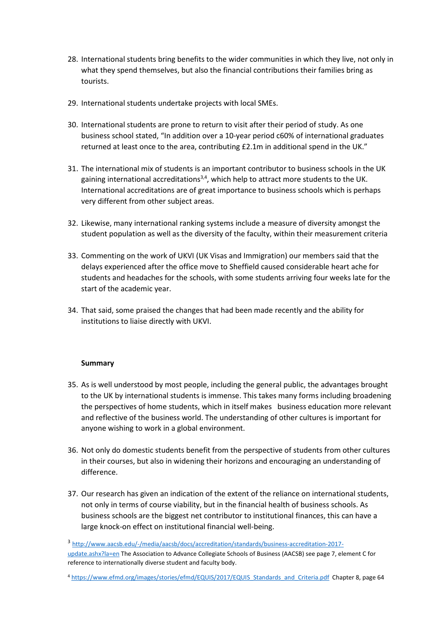- 28. International students bring benefits to the wider communities in which they live, not only in what they spend themselves, but also the financial contributions their families bring as tourists.
- 29. International students undertake projects with local SMEs.
- 30. International students are prone to return to visit after their period of study. As one business school stated, "In addition over a 10-year period c60% of international graduates returned at least once to the area, contributing £2.1m in additional spend in the UK."
- 31. The international mix of students is an important contributor to business schools in the UK gaining international accreditations<sup>3,4</sup>, which help to attract more students to the UK. International accreditations are of great importance to business schools which is perhaps very different from other subject areas.
- 32. Likewise, many international ranking systems include a measure of diversity amongst the student population as well as the diversity of the faculty, within their measurement criteria
- 33. Commenting on the work of UKVI (UK Visas and Immigration) our members said that the delays experienced after the office move to Sheffield caused considerable heart ache for students and headaches for the schools, with some students arriving four weeks late for the start of the academic year.
- 34. That said, some praised the changes that had been made recently and the ability for institutions to liaise directly with UKVI.

# **Summary**

- 35. As is well understood by most people, including the general public, the advantages brought to the UK by international students is immense. This takes many forms including broadening the perspectives of home students, which in itself makes business education more relevant and reflective of the business world. The understanding of other cultures is important for anyone wishing to work in a global environment.
- 36. Not only do domestic students benefit from the perspective of students from other cultures in their courses, but also in widening their horizons and encouraging an understanding of difference.
- 37. Our research has given an indication of the extent of the reliance on international students, not only in terms of course viability, but in the financial health of business schools. As business schools are the biggest net contributor to institutional finances, this can have a large knock-on effect on institutional financial well-being.

<sup>3</sup> [http://www.aacsb.edu/-/media/aacsb/docs/accreditation/standards/business-accreditation-2017](http://www.aacsb.edu/-/media/aacsb/docs/accreditation/standards/business-accreditation-2017-update.ashx?la=en) [update.ashx?la=en](http://www.aacsb.edu/-/media/aacsb/docs/accreditation/standards/business-accreditation-2017-update.ashx?la=en) The Association to Advance Collegiate Schools of Business (AACSB) see page 7, element C for reference to internationally diverse student and faculty body.

<sup>4</sup> [https://www.efmd.org/images/stories/efmd/EQUIS/2017/EQUIS\\_Standards\\_and\\_Criteria.pdf](https://www.efmd.org/images/stories/efmd/EQUIS/2017/EQUIS_Standards_and_Criteria.pdf) Chapter 8, page 64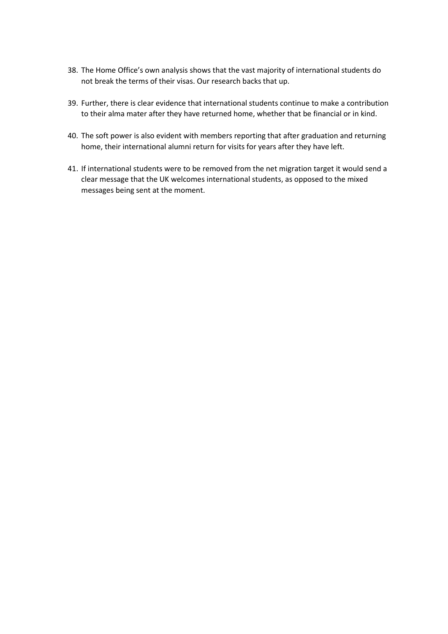- 38. The Home Office's own analysis shows that the vast majority of international students do not break the terms of their visas. Our research backs that up.
- 39. Further, there is clear evidence that international students continue to make a contribution to their alma mater after they have returned home, whether that be financial or in kind.
- 40. The soft power is also evident with members reporting that after graduation and returning home, their international alumni return for visits for years after they have left.
- 41. If international students were to be removed from the net migration target it would send a clear message that the UK welcomes international students, as opposed to the mixed messages being sent at the moment.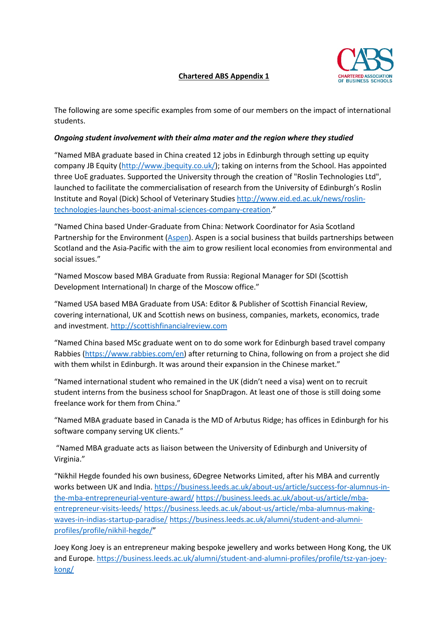

The following are some specific examples from some of our members on the impact of international students.

# *Ongoing student involvement with their alma mater and the region where they studied*

"Named MBA graduate based in China created 12 jobs in Edinburgh through setting up equity company JB Equity [\(http://www.jbequity.co.uk/\)](http://www.jbequity.co.uk/); taking on interns from the School. Has appointed three UoE graduates. Supported the University through the creation of "Roslin Technologies Ltd", launched to facilitate the commercialisation of research from the University of Edinburgh's Roslin Institute and Royal (Dick) School of Veterinary Studies [http://www.eid.ed.ac.uk/news/roslin](http://www.eid.ed.ac.uk/news/roslin-technologies-launches-boost-animal-sciences-company-creation)[technologies-launches-boost-animal-sciences-company-creation.](http://www.eid.ed.ac.uk/news/roslin-technologies-launches-boost-animal-sciences-company-creation)"

"Named China based Under-Graduate from China: Network Coordinator for Asia Scotland Partnership for the Environment [\(Aspen\)](https://aspenpartnerships.com/). Aspen is a social business that builds partnerships between Scotland and the Asia-Pacific with the aim to grow resilient local economies from environmental and social issues."

"Named Moscow based MBA Graduate from Russia: Regional Manager for SDI (Scottish Development International) In charge of the Moscow office."

"Named USA based MBA Graduate from USA: Editor & Publisher of Scottish Financial Review, covering international, UK and Scottish news on business, companies, markets, economics, trade and investment. [http://scottishfinancialreview.com](http://scottishfinancialreview.com/)

"Named China based MSc graduate went on to do some work for Edinburgh based travel company Rabbies [\(https://www.rabbies.com/en\)](https://www.rabbies.com/en) after returning to China, following on from a project she did with them whilst in Edinburgh. It was around their expansion in the Chinese market."

"Named international student who remained in the UK (didn't need a visa) went on to recruit student interns from the business school for SnapDragon. At least one of those is still doing some freelance work for them from China."

"Named MBA graduate based in Canada is the MD of Arbutus Ridge; has offices in Edinburgh for his software company serving UK clients."

"Named MBA graduate acts as liaison between the University of Edinburgh and University of Virginia."

"Nikhil Hegde founded his own business, 6Degree Networks Limited, after his MBA and currently works between UK and India. [https://business.leeds.ac.uk/about-us/article/success-for-alumnus-in](https://business.leeds.ac.uk/about-us/article/success-for-alumnus-in-the-mba-entrepreneurial-venture-award/)[the-mba-entrepreneurial-venture-award/](https://business.leeds.ac.uk/about-us/article/success-for-alumnus-in-the-mba-entrepreneurial-venture-award/) [https://business.leeds.ac.uk/about-us/article/mba](https://business.leeds.ac.uk/about-us/article/mba-entrepreneur-visits-leeds/)[entrepreneur-visits-leeds/](https://business.leeds.ac.uk/about-us/article/mba-entrepreneur-visits-leeds/) [https://business.leeds.ac.uk/about-us/article/mba-alumnus-making](https://business.leeds.ac.uk/about-us/article/mba-alumnus-making-waves-in-indias-startup-paradise/)[waves-in-indias-startup-paradise/](https://business.leeds.ac.uk/about-us/article/mba-alumnus-making-waves-in-indias-startup-paradise/) [https://business.leeds.ac.uk/alumni/student-and-alumni](https://business.leeds.ac.uk/alumni/student-and-alumni-profiles/profile/nikhil-hegde/)[profiles/profile/nikhil-hegde/"](https://business.leeds.ac.uk/alumni/student-and-alumni-profiles/profile/nikhil-hegde/)

Joey Kong Joey is an entrepreneur making bespoke jewellery and works between Hong Kong, the UK and Europe[. https://business.leeds.ac.uk/alumni/student-and-alumni-profiles/profile/tsz-yan-joey](https://business.leeds.ac.uk/alumni/student-and-alumni-profiles/profile/tsz-yan-joey-kong/)[kong/](https://business.leeds.ac.uk/alumni/student-and-alumni-profiles/profile/tsz-yan-joey-kong/)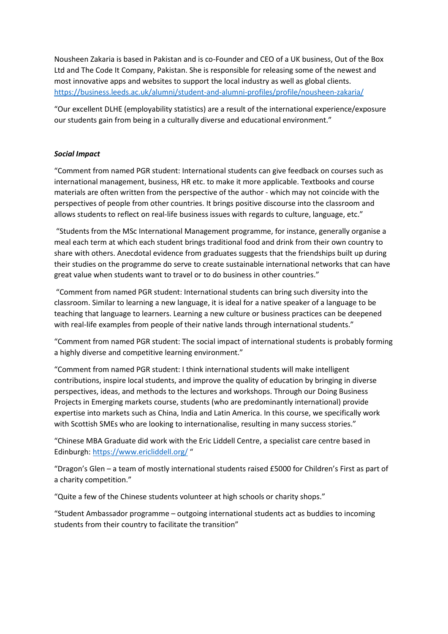Nousheen Zakaria is based in Pakistan and is co-Founder and CEO of a UK business, Out of the Box Ltd and The Code It Company, Pakistan. She is responsible for releasing some of the newest and most innovative apps and websites to support the local industry as well as global clients. <https://business.leeds.ac.uk/alumni/student-and-alumni-profiles/profile/nousheen-zakaria/>

"Our excellent DLHE (employability statistics) are a result of the international experience/exposure our students gain from being in a culturally diverse and educational environment."

# *Social Impact*

"Comment from named PGR student: International students can give feedback on courses such as international management, business, HR etc. to make it more applicable. Textbooks and course materials are often written from the perspective of the author - which may not coincide with the perspectives of people from other countries. It brings positive discourse into the classroom and allows students to reflect on real-life business issues with regards to culture, language, etc."

"Students from the MSc International Management programme, for instance, generally organise a meal each term at which each student brings traditional food and drink from their own country to share with others. Anecdotal evidence from graduates suggests that the friendships built up during their studies on the programme do serve to create sustainable international networks that can have great value when students want to travel or to do business in other countries."

"Comment from named PGR student: International students can bring such diversity into the classroom. Similar to learning a new language, it is ideal for a native speaker of a language to be teaching that language to learners. Learning a new culture or business practices can be deepened with real-life examples from people of their native lands through international students."

"Comment from named PGR student: The social impact of international students is probably forming a highly diverse and competitive learning environment."

"Comment from named PGR student: I think international students will make intelligent contributions, inspire local students, and improve the quality of education by bringing in diverse perspectives, ideas, and methods to the lectures and workshops. Through our Doing Business Projects in Emerging markets course, students (who are predominantly international) provide expertise into markets such as China, India and Latin America. In this course, we specifically work with Scottish SMEs who are looking to internationalise, resulting in many success stories."

"Chinese MBA Graduate did work with the Eric Liddell Centre, a specialist care centre based in Edinburgh:<https://www.ericliddell.org/> "

"Dragon's Glen – a team of mostly international students raised £5000 for Children's First as part of a charity competition."

"Quite a few of the Chinese students volunteer at high schools or charity shops."

"Student Ambassador programme – outgoing international students act as buddies to incoming students from their country to facilitate the transition"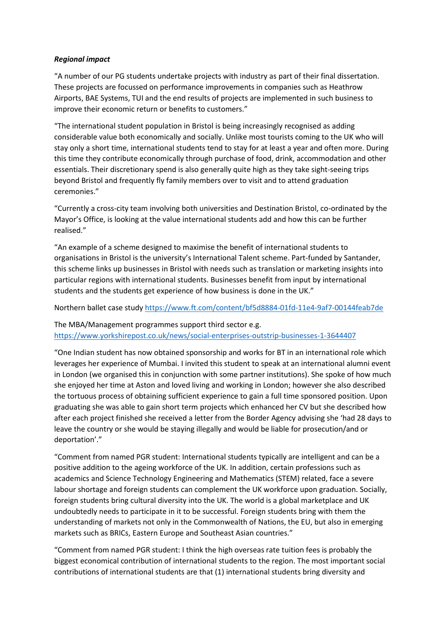# *Regional impact*

"A number of our PG students undertake projects with industry as part of their final dissertation. These projects are focussed on performance improvements in companies such as Heathrow Airports, BAE Systems, TUI and the end results of projects are implemented in such business to improve their economic return or benefits to customers."

"The international student population in Bristol is being increasingly recognised as adding considerable value both economically and socially. Unlike most tourists coming to the UK who will stay only a short time, international students tend to stay for at least a year and often more. During this time they contribute economically through purchase of food, drink, accommodation and other essentials. Their discretionary spend is also generally quite high as they take sight-seeing trips beyond Bristol and frequently fly family members over to visit and to attend graduation ceremonies."

"Currently a cross-city team involving both universities and Destination Bristol, co-ordinated by the Mayor's Office, is looking at the value international students add and how this can be further realised."

"An example of a scheme designed to maximise the benefit of international students to organisations in Bristol is the university's International Talent scheme. Part-funded by Santander, this scheme links up businesses in Bristol with needs such as translation or marketing insights into particular regions with international students. Businesses benefit from input by international students and the students get experience of how business is done in the UK."

Northern ballet case stud[y https://www.ft.com/content/bf5d8884-01fd-11e4-9af7-00144feab7de](https://www.ft.com/content/bf5d8884-01fd-11e4-9af7-00144feab7de)

The MBA/Management programmes support third sector e.g. <https://www.yorkshirepost.co.uk/news/social-enterprises-outstrip-businesses-1-3644407>

"One Indian student has now obtained sponsorship and works for BT in an international role which leverages her experience of Mumbai. I invited this student to speak at an international alumni event in London (we organised this in conjunction with some partner institutions). She spoke of how much she enjoyed her time at Aston and loved living and working in London; however she also described the tortuous process of obtaining sufficient experience to gain a full time sponsored position. Upon graduating she was able to gain short term projects which enhanced her CV but she described how after each project finished she received a letter from the Border Agency advising she 'had 28 days to leave the country or she would be staying illegally and would be liable for prosecution/and or deportation'."

"Comment from named PGR student: International students typically are intelligent and can be a positive addition to the ageing workforce of the UK. In addition, certain professions such as academics and Science Technology Engineering and Mathematics (STEM) related, face a severe labour shortage and foreign students can complement the UK workforce upon graduation. Socially, foreign students bring cultural diversity into the UK. The world is a global marketplace and UK undoubtedly needs to participate in it to be successful. Foreign students bring with them the understanding of markets not only in the Commonwealth of Nations, the EU, but also in emerging markets such as BRICs, Eastern Europe and Southeast Asian countries."

"Comment from named PGR student: I think the high overseas rate tuition fees is probably the biggest economical contribution of international students to the region. The most important social contributions of international students are that (1) international students bring diversity and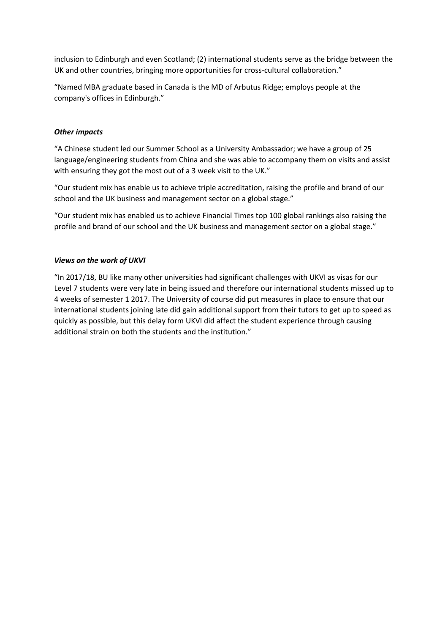inclusion to Edinburgh and even Scotland; (2) international students serve as the bridge between the UK and other countries, bringing more opportunities for cross-cultural collaboration."

"Named MBA graduate based in Canada is the MD of Arbutus Ridge; employs people at the company's offices in Edinburgh."

# *Other impacts*

"A Chinese student led our Summer School as a University Ambassador; we have a group of 25 language/engineering students from China and she was able to accompany them on visits and assist with ensuring they got the most out of a 3 week visit to the UK."

"Our student mix has enable us to achieve triple accreditation, raising the profile and brand of our school and the UK business and management sector on a global stage."

"Our student mix has enabled us to achieve Financial Times top 100 global rankings also raising the profile and brand of our school and the UK business and management sector on a global stage."

# *Views on the work of UKVI*

"In 2017/18, BU like many other universities had significant challenges with UKVI as visas for our Level 7 students were very late in being issued and therefore our international students missed up to 4 weeks of semester 1 2017. The University of course did put measures in place to ensure that our international students joining late did gain additional support from their tutors to get up to speed as quickly as possible, but this delay form UKVI did affect the student experience through causing additional strain on both the students and the institution."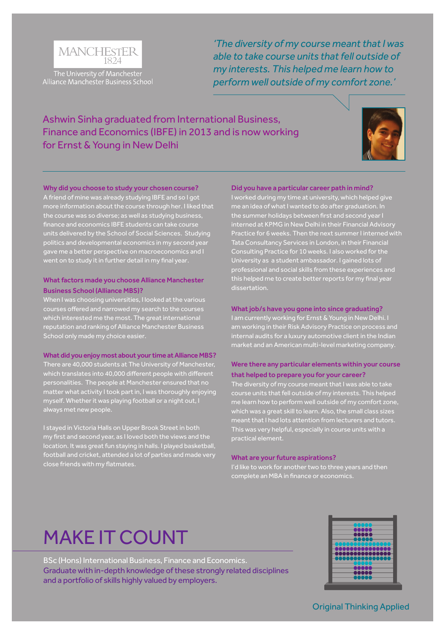

The University of Manchester Alliance Manchester Business School *'The diversity of my course meant that I was able to take course units that fell outside of my interests. This helped me learn how to perform well outside of my comfort zone.'*

# Ashwin Sinha graduated from International Business, Finance and Economics (IBFE) in 2013 and is now working for Ernst & Young in New Delhi



### Why did you choose to study your chosen course?

A friend of mine was already studying IBFE and so I got more information about the course through her. I liked that the course was so diverse; as well as studying business, finance and economics IBFE students can take course units delivered by the School of Social Sciences. Studying politics and developmental economics in my second year gave me a better perspective on macroeconomics and I went on to study it in further detail in my final year.

### What factors made you choose Alliance Manchester Business School (Alliance MBS)?

When I was choosing universities, I looked at the various which interested me the most. The great international reputation and ranking of Alliance Manchester Business

### What did you enjoy most about your time at Alliance MBS?

There are 40,000 students at The University of Manchester, which translates into 40,000 different people with different personalities. The people at Manchester ensured that no matter what activity I took part in, I was thoroughly enjoying myself. Whether it was playing football or a night out, I always met new people.

I stayed in Victoria Halls on Upper Brook Street in both my first and second year, as I loved both the views and the location. It was great fun staying in halls. I played basketball, football and cricket, attended a lot of parties and made very close friends with my flatmates.

### Did you have a particular career path in mind?

I worked during my time at university, which helped give me an idea of what I wanted to do after graduation. In interned at KPMG in New Delhi in their Financial Advisory Tata Consultancy Services in London, in their Financial Consulting Practice for 10 weeks. I also worked for the University as a student ambassador. I gained lots of professional and social skills from these experiences and this helped me to create better reports for my final year

### What job/s have you gone into since graduating?

I am currently working for Ernst & Young in New Delhi. I am working in their Risk Advisory Practice on process and internal audits for a luxury automotive client in the Indian market and an American multi-level marketing company.

### Were there any particular elements within your course that helped to prepare you for your career?

The diversity of my course meant that I was able to take course units that fell outside of my interests. This helped which was a great skill to learn. Also, the small class sizes This was very helpful, especially in course units with a practical element.

#### What are your future aspirations?

I'd like to work for another two to three years and then complete an MBA in finance or economics.

# MAKE IT COUNT

BSc (Hons) International Business, Finance and Economics. Graduate with in-depth knowledge of these strongly related disciplines and a portfolio of skills highly valued by employers.

| n men<br>c<br>۰<br>nanaa aa<br>an na n<br>80000 |
|-------------------------------------------------|
|-------------------------------------------------|

Original Thinking Applied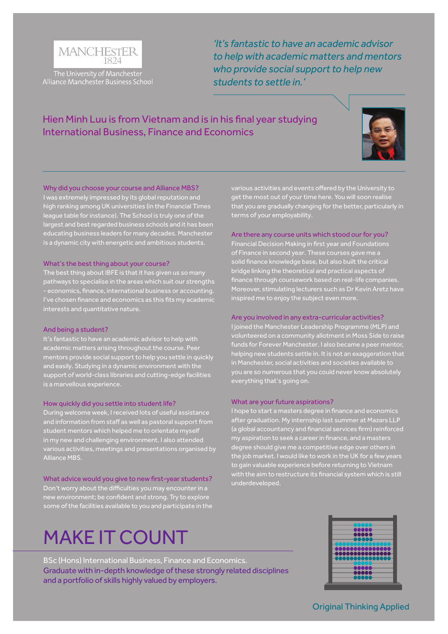

The University of Manchester Alliance Manchester Business School

*'It's fantastic to have an academic advisor to help with academic matters and mentors who provide social support to help new students to settle in.'*

# Hien Minh Luu is from Vietnam and is in his final year studying International Business, Finance and Economics



### Why did you choose your course and Alliance MBS?

I was extremely impressed by its global reputation and high ranking among UK universities (in the Financial Times league table for instance). The School is truly one of the largest and best regarded business schools and it has been educating business leaders for many decades. Manchester is a dynamic city with energetic and ambitious students.

#### What's the best thing about your course?

The best thing about IBFE is that it has given us so many pathways to specialise in the areas which suit our strengths - economics, finance, international business or accounting. I've chosen finance and economics as this fits my academic

### And being a student?

It's fantastic to have an academic advisor to help with academic matters arising throughout the course. Peer mentors provide social support to help you settle in quickly and easily. Studying in a dynamic environment with the support of world-class libraries and cutting-edge facilities is a marvellous experience.

### How quickly did you settle into student life?

During welcome week, I received lots of useful assistance and information from staff as well as pastoral support from student mentors which helped me to orientate myself in my new and challenging environment. I also attended various activities, meetings and presentations organised by Alliance MBS.

What advice would you give to new first-year students? Don't worry about the difficulties you may encounter in a new environment; be confident and strong. Try to explore some of the facilities available to you and participate in the

# MAKE IT COUNT

BSc (Hons) International Business, Finance and Economics. Graduate with in-depth knowledge of these strongly related disciplines and a portfolio of skills highly valued by employers.



various activities and events offered by the University to get the most out of your time here. You will soon realise that you are gradually changing for the better, particularly in terms of your employability.

### Are there any course units which stood our for you?

Financial Decision Making in first year and Foundations of Finance in second year. These courses gave me a solid finance knowledge base, but also built the critical bridge linking the theoretical and practical aspects of finance through coursework based on real-life companies. Moreover, stimulating lecturers such as Dr Kevin Aretz have inspired me to enjoy the subject even more.

#### Are you involved in any extra-curricular activities?

I joined the Manchester Leadership Programme (MLP) and volunteered on a community allotment in Moss Side to raise funds for Forever Manchester. I also became a peer mentor, helping new students settle in. It is not an exaggeration that you are so numerous that you could never know absolutely everything that's going on.

### What are your future aspirations?

I hope to start a masters degree in finance and economics after graduation. My internship last summer at Mazars LLP (a global accountancy and financial services firm) reinforced my aspiration to seek a career in finance, and a masters degree should give me a competitive edge over others in the job market. I would like to work in the UK for a few years with the aim to restructure its financial system which is still underdeveloped.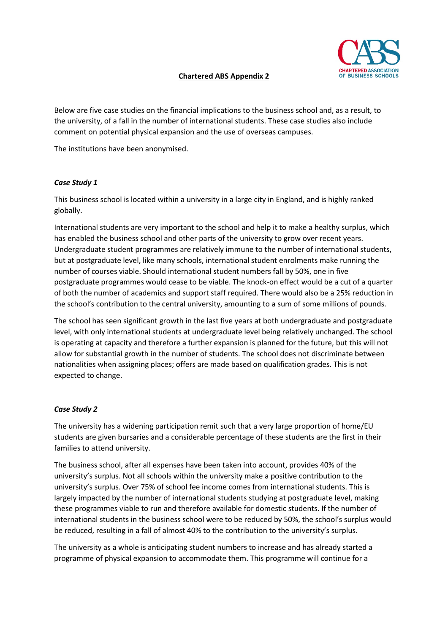

# **Chartered ABS Appendix 2**

Below are five case studies on the financial implications to the business school and, as a result, to the university, of a fall in the number of international students. These case studies also include comment on potential physical expansion and the use of overseas campuses.

The institutions have been anonymised.

# *Case Study 1*

This business school is located within a university in a large city in England, and is highly ranked globally.

International students are very important to the school and help it to make a healthy surplus, which has enabled the business school and other parts of the university to grow over recent years. Undergraduate student programmes are relatively immune to the number of international students, but at postgraduate level, like many schools, international student enrolments make running the number of courses viable. Should international student numbers fall by 50%, one in five postgraduate programmes would cease to be viable. The knock-on effect would be a cut of a quarter of both the number of academics and support staff required. There would also be a 25% reduction in the school's contribution to the central university, amounting to a sum of some millions of pounds.

The school has seen significant growth in the last five years at both undergraduate and postgraduate level, with only international students at undergraduate level being relatively unchanged. The school is operating at capacity and therefore a further expansion is planned for the future, but this will not allow for substantial growth in the number of students. The school does not discriminate between nationalities when assigning places; offers are made based on qualification grades. This is not expected to change.

# *Case Study 2*

The university has a widening participation remit such that a very large proportion of home/EU students are given bursaries and a considerable percentage of these students are the first in their families to attend university.

The business school, after all expenses have been taken into account, provides 40% of the university's surplus. Not all schools within the university make a positive contribution to the university's surplus. Over 75% of school fee income comes from international students. This is largely impacted by the number of international students studying at postgraduate level, making these programmes viable to run and therefore available for domestic students. If the number of international students in the business school were to be reduced by 50%, the school's surplus would be reduced, resulting in a fall of almost 40% to the contribution to the university's surplus.

The university as a whole is anticipating student numbers to increase and has already started a programme of physical expansion to accommodate them. This programme will continue for a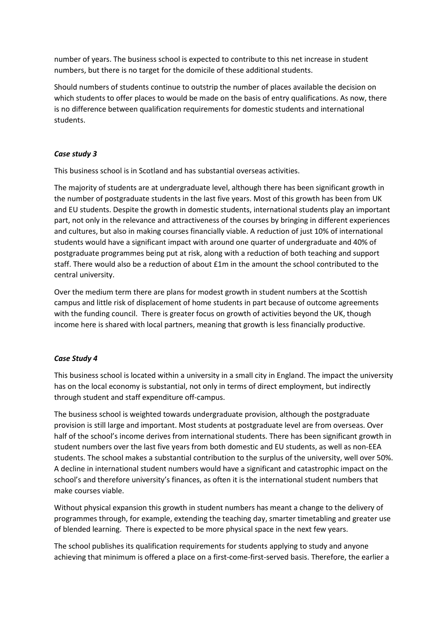number of years. The business school is expected to contribute to this net increase in student numbers, but there is no target for the domicile of these additional students.

Should numbers of students continue to outstrip the number of places available the decision on which students to offer places to would be made on the basis of entry qualifications. As now, there is no difference between qualification requirements for domestic students and international students.

# *Case study 3*

This business school is in Scotland and has substantial overseas activities.

The majority of students are at undergraduate level, although there has been significant growth in the number of postgraduate students in the last five years. Most of this growth has been from UK and EU students. Despite the growth in domestic students, international students play an important part, not only in the relevance and attractiveness of the courses by bringing in different experiences and cultures, but also in making courses financially viable. A reduction of just 10% of international students would have a significant impact with around one quarter of undergraduate and 40% of postgraduate programmes being put at risk, along with a reduction of both teaching and support staff. There would also be a reduction of about £1m in the amount the school contributed to the central university.

Over the medium term there are plans for modest growth in student numbers at the Scottish campus and little risk of displacement of home students in part because of outcome agreements with the funding council. There is greater focus on growth of activities beyond the UK, though income here is shared with local partners, meaning that growth is less financially productive.

# *Case Study 4*

This business school is located within a university in a small city in England. The impact the university has on the local economy is substantial, not only in terms of direct employment, but indirectly through student and staff expenditure off-campus.

The business school is weighted towards undergraduate provision, although the postgraduate provision is still large and important. Most students at postgraduate level are from overseas. Over half of the school's income derives from international students. There has been significant growth in student numbers over the last five years from both domestic and EU students, as well as non-EEA students. The school makes a substantial contribution to the surplus of the university, well over 50%. A decline in international student numbers would have a significant and catastrophic impact on the school's and therefore university's finances, as often it is the international student numbers that make courses viable.

Without physical expansion this growth in student numbers has meant a change to the delivery of programmes through, for example, extending the teaching day, smarter timetabling and greater use of blended learning. There is expected to be more physical space in the next few years.

The school publishes its qualification requirements for students applying to study and anyone achieving that minimum is offered a place on a first-come-first-served basis. Therefore, the earlier a